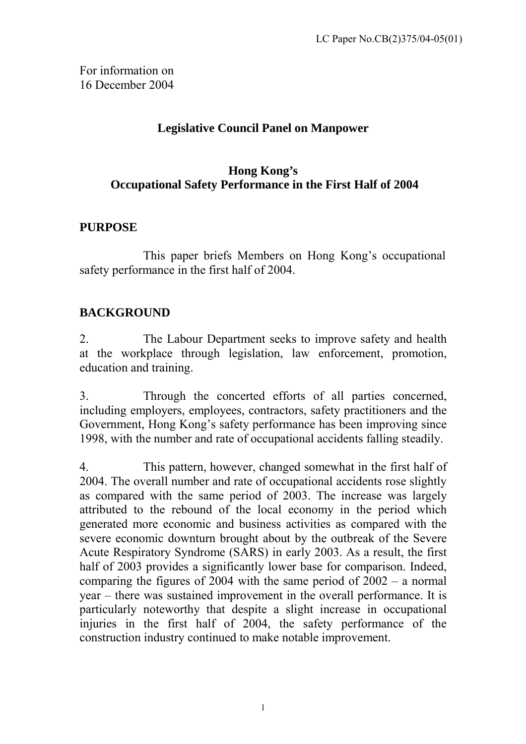For information on 16 December 2004

# **Legislative Council Panel on Manpower**

# **Hong Kong's Occupational Safety Performance in the First Half of 2004**

### **PURPOSE**

This paper briefs Members on Hong Kong's occupational safety performance in the first half of 2004.

### **BACKGROUND**

2. The Labour Department seeks to improve safety and health at the workplace through legislation, law enforcement, promotion, education and training.

3. Through the concerted efforts of all parties concerned, including employers, employees, contractors, safety practitioners and the Government, Hong Kong's safety performance has been improving since 1998, with the number and rate of occupational accidents falling steadily.

4. This pattern, however, changed somewhat in the first half of 2004. The overall number and rate of occupational accidents rose slightly as compared with the same period of 2003. The increase was largely attributed to the rebound of the local economy in the period which generated more economic and business activities as compared with the severe economic downturn brought about by the outbreak of the Severe Acute Respiratory Syndrome (SARS) in early 2003. As a result, the first half of 2003 provides a significantly lower base for comparison. Indeed, comparing the figures of 2004 with the same period of 2002 – a normal year – there was sustained improvement in the overall performance. It is particularly noteworthy that despite a slight increase in occupational injuries in the first half of 2004, the safety performance of the construction industry continued to make notable improvement.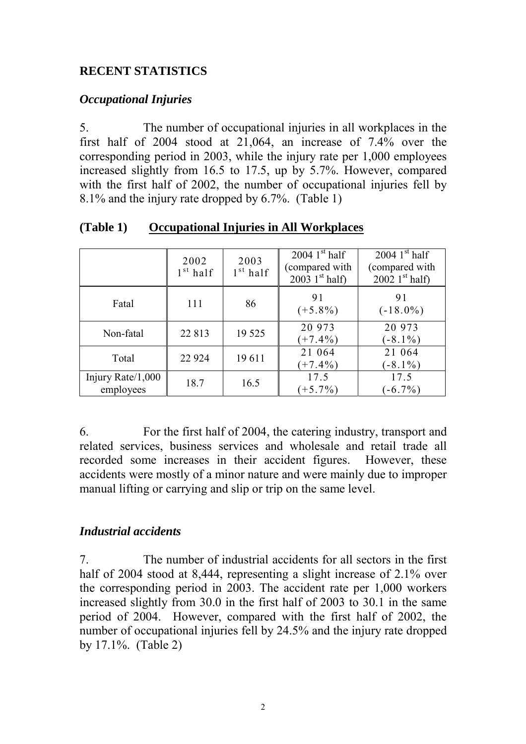# **RECENT STATISTICS**

### *Occupational Injuries*

5. The number of occupational injuries in all workplaces in the first half of 2004 stood at 21,064, an increase of 7.4% over the corresponding period in 2003, while the injury rate per 1,000 employees increased slightly from 16.5 to 17.5, up by 5.7%. However, compared with the first half of 2002, the number of occupational injuries fell by 8.1% and the injury rate dropped by 6.7%. (Table 1)

|                                | 2002<br>$1st$ half | 2003<br>$1st$ half | 2004 $1st$ half<br>compared with<br>2003 $1st$ half) | 2004 $1st$ half<br>(compared with<br>$20021$ <sup>st</sup> half) |
|--------------------------------|--------------------|--------------------|------------------------------------------------------|------------------------------------------------------------------|
| Fatal                          | 111                | 86                 | 91<br>$(+5.8\%)$                                     | 91<br>$(-18.0\%)$                                                |
| Non-fatal                      | 22 813             | 19 5 25            | 20 973<br>$(+7.4\%)$                                 | 20 973<br>$(-8.1\%)$                                             |
| Total                          | 22 9 24            | 19611              | 21 064<br>$(+7.4\%)$                                 | 21 064<br>$(-8.1\%)$                                             |
| Injury Rate/1,000<br>employees | 18.7               | 16.5               | 17.5<br>$(+5.7\%)$                                   | 17.5<br>$-6.7\%$                                                 |

**(Table 1) Occupational Injuries in All Workplaces**

6. For the first half of 2004, the catering industry, transport and related services, business services and wholesale and retail trade all recorded some increases in their accident figures. However, these accidents were mostly of a minor nature and were mainly due to improper manual lifting or carrying and slip or trip on the same level.

# *Industrial accidents*

7. The number of industrial accidents for all sectors in the first half of 2004 stood at 8,444, representing a slight increase of 2.1% over the corresponding period in 2003. The accident rate per 1,000 workers increased slightly from 30.0 in the first half of 2003 to 30.1 in the same period of 2004. However, compared with the first half of 2002, the number of occupational injuries fell by 24.5% and the injury rate dropped by 17.1%. (Table 2)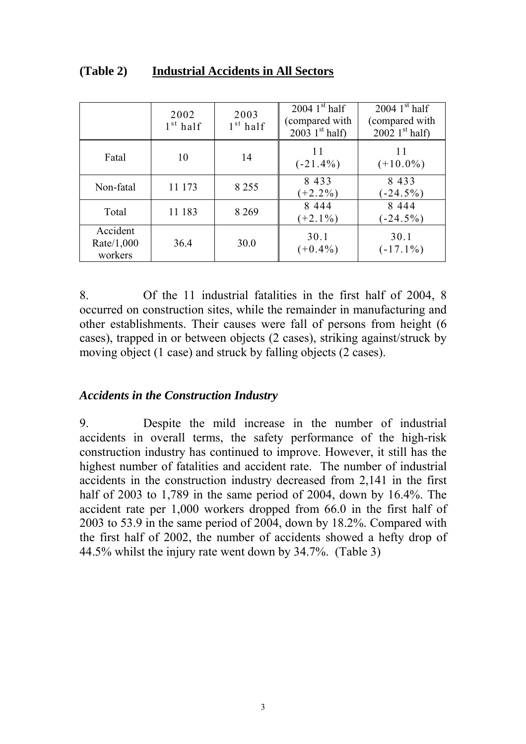|                                   | 2002<br>$1st$ half | 2003<br>$1st$ half | 2004 $1st$ half<br>compared with<br>$2003 \; 1^{st} \; \text{half}$ | 2004 $1st$ half<br>(compared with<br>2002 $1st$ half) |
|-----------------------------------|--------------------|--------------------|---------------------------------------------------------------------|-------------------------------------------------------|
| Fatal                             | 10                 | 14                 | 11<br>$(-21.4\%)$                                                   | 11<br>$(+10.0\%)$                                     |
| Non-fatal                         | 11 173             | 8 2 5 5            | 8 4 3 3<br>$(+2.2\%)$                                               | 8 4 3 3<br>$(-24.5%)$                                 |
| Total                             | 11 183             | 8 2 6 9            | 8 4 4 4<br>$(+2.1\%)$                                               | 8 4 4 4<br>$(-24.5%)$                                 |
| Accident<br>Rate/1,000<br>workers | 36.4               | 30.0               | 30.1<br>$(+0.4\%)$                                                  | 30.1<br>$(-17.1\%)$                                   |

### **(Table 2) Industrial Accidents in All Sectors**

8. Of the 11 industrial fatalities in the first half of 2004, 8 occurred on construction sites, while the remainder in manufacturing and other establishments. Their causes were fall of persons from height (6 cases), trapped in or between objects (2 cases), striking against/struck by moving object (1 case) and struck by falling objects (2 cases).

#### *Accidents in the Construction Industry*

9. Despite the mild increase in the number of industrial accidents in overall terms, the safety performance of the high-risk construction industry has continued to improve. However, it still has the highest number of fatalities and accident rate. The number of industrial accidents in the construction industry decreased from 2,141 in the first half of 2003 to 1,789 in the same period of 2004, down by 16.4%. The accident rate per 1,000 workers dropped from 66.0 in the first half of 2003 to 53.9 in the same period of 2004, down by 18.2%. Compared with the first half of 2002, the number of accidents showed a hefty drop of 44.5% whilst the injury rate went down by 34.7%. (Table 3)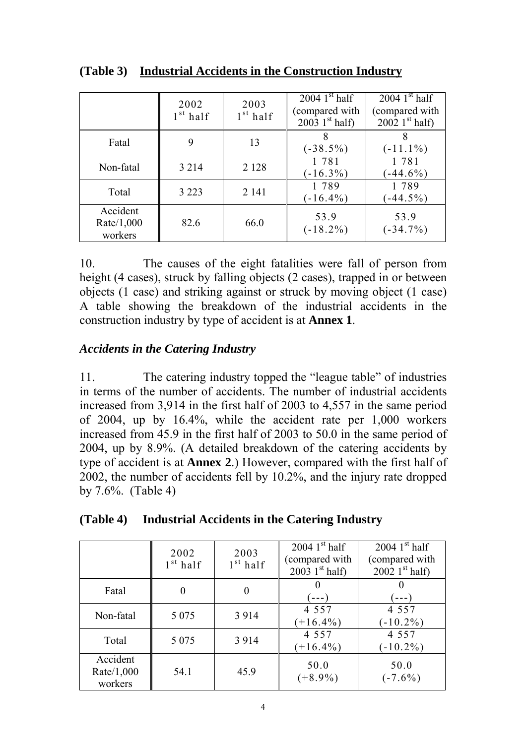|                                   | 2002<br>$1st$ half | 2003<br>$1st$ half | 2004 $1st$ half<br>compared with<br>$2003 \; 1^{st} \; \text{half}$ | 2004 $1st$ half<br>(compared with<br>2002 $1st$ half) |
|-----------------------------------|--------------------|--------------------|---------------------------------------------------------------------|-------------------------------------------------------|
| Fatal                             | 9                  | 13                 | $(-38.5\%)$                                                         | $(-11.1\%)$                                           |
| Non-fatal                         | 3 2 1 4            | 2 1 2 8            | 1 781<br>$(-16.3\%)$                                                | 1781<br>$-44.6\%$                                     |
| Total                             | 3 2 2 3            | 2 1 4 1            | 1 789<br>$(-16.4\%)$                                                | 1789<br>$-44.5\%$                                     |
| Accident<br>Rate/1,000<br>workers | 82.6               | 66.0               | 53.9<br>$(-18.2\%)$                                                 | 53.9<br>$(-34.7\%)$                                   |

**(Table 3) Industrial Accidents in the Construction Industry**

10. The causes of the eight fatalities were fall of person from height (4 cases), struck by falling objects (2 cases), trapped in or between objects (1 case) and striking against or struck by moving object (1 case) A table showing the breakdown of the industrial accidents in the construction industry by type of accident is at **Annex 1**.

# *Accidents in the Catering Industry*

11. The catering industry topped the "league table" of industries in terms of the number of accidents. The number of industrial accidents increased from 3,914 in the first half of 2003 to 4,557 in the same period of 2004, up by 16.4%, while the accident rate per 1,000 workers increased from 45.9 in the first half of 2003 to 50.0 in the same period of 2004, up by 8.9%. (A detailed breakdown of the catering accidents by type of accident is at **Annex 2**.) However, compared with the first half of 2002, the number of accidents fell by 10.2%, and the injury rate dropped by 7.6%. (Table 4)

| (Table 4) |  | Industrial Accidents in the Catering Industry |  |
|-----------|--|-----------------------------------------------|--|
|           |  |                                               |  |

|                                   | 2002<br>$1st$ half | 2003<br>$1st$ half | 2004 1st half<br>compared with<br>2003 $1st$ half) | 2004 $1st$ half<br>(compared with<br>2002 $1st$ half) |
|-----------------------------------|--------------------|--------------------|----------------------------------------------------|-------------------------------------------------------|
| Fatal                             | 0                  | 0                  |                                                    | $- -$                                                 |
| Non-fatal                         | 5 0 7 5            | 3 9 1 4            | 4 5 5 7<br>$+16.4\%$                               | 4 5 5 7<br>$(-10.2\%)$                                |
| Total                             | 5 0 7 5            | 3 9 1 4            | 4 5 5 7<br>$+16.4\%$                               | 4 5 5 7<br>$(-10.2\%)$                                |
| Accident<br>Rate/1,000<br>workers | 54.1               | 45.9               | 50.0<br>$(+8.9\%)$                                 | 50.0<br>$(-7.6\%)$                                    |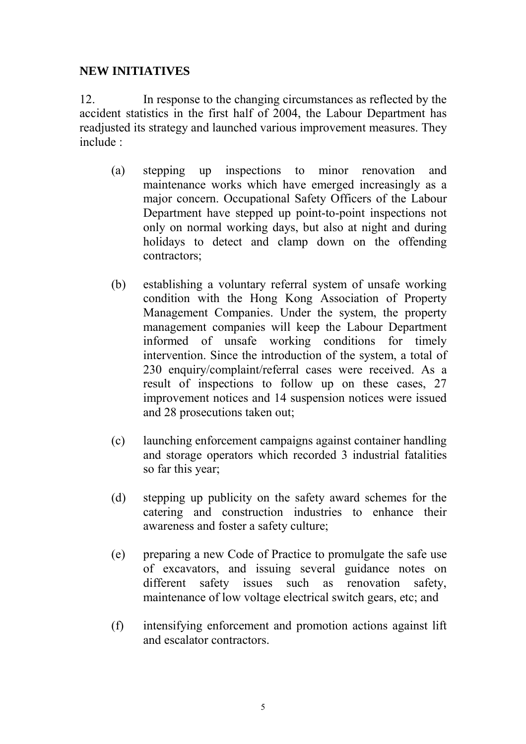# **NEW INITIATIVES**

12. In response to the changing circumstances as reflected by the accident statistics in the first half of 2004, the Labour Department has readjusted its strategy and launched various improvement measures. They include :

- (a) stepping up inspections to minor renovation and maintenance works which have emerged increasingly as a major concern. Occupational Safety Officers of the Labour Department have stepped up point-to-point inspections not only on normal working days, but also at night and during holidays to detect and clamp down on the offending contractors;
- (b) establishing a voluntary referral system of unsafe working condition with the Hong Kong Association of Property Management Companies. Under the system, the property management companies will keep the Labour Department informed of unsafe working conditions for timely intervention. Since the introduction of the system, a total of 230 enquiry/complaint/referral cases were received. As a result of inspections to follow up on these cases, 27 improvement notices and 14 suspension notices were issued and 28 prosecutions taken out;
- (c) launching enforcement campaigns against container handling and storage operators which recorded 3 industrial fatalities so far this year;
- (d) stepping up publicity on the safety award schemes for the catering and construction industries to enhance their awareness and foster a safety culture;
- (e) preparing a new Code of Practice to promulgate the safe use of excavators, and issuing several guidance notes on different safety issues such as renovation safety, maintenance of low voltage electrical switch gears, etc; and
- (f) intensifying enforcement and promotion actions against lift and escalator contractors.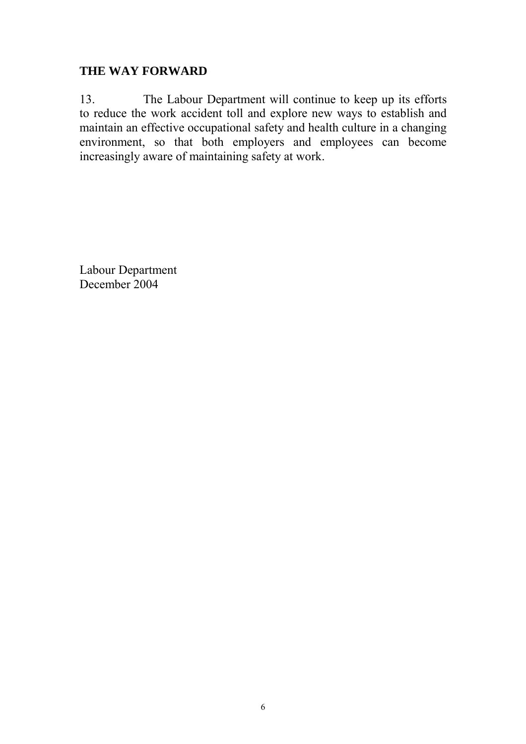# **THE WAY FORWARD**

13. The Labour Department will continue to keep up its efforts to reduce the work accident toll and explore new ways to establish and maintain an effective occupational safety and health culture in a changing environment, so that both employers and employees can become increasingly aware of maintaining safety at work.

Labour Department December 2004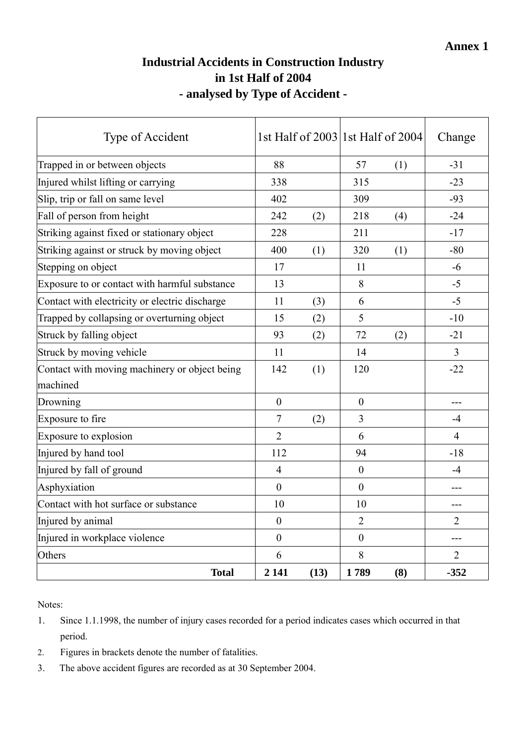# **Industrial Accidents in Construction Industry in 1st Half of 2004 - analysed by Type of Accident -**

| Type of Accident                               |                  |      |                  | 1st Half of 2003 1st Half of 2004 | Change         |
|------------------------------------------------|------------------|------|------------------|-----------------------------------|----------------|
| Trapped in or between objects                  | 88               |      | 57               | (1)                               | $-31$          |
| Injured whilst lifting or carrying             | 338              |      | 315              |                                   | $-23$          |
| Slip, trip or fall on same level               | 402              |      | 309              |                                   | $-93$          |
| Fall of person from height                     | 242              | (2)  | 218              | (4)                               | $-24$          |
| Striking against fixed or stationary object    | 228              |      | 211              |                                   | $-17$          |
| Striking against or struck by moving object    | 400              | (1)  | 320              | (1)                               | $-80$          |
| Stepping on object                             | 17               |      | 11               |                                   | $-6$           |
| Exposure to or contact with harmful substance  | 13               |      | 8                |                                   | $-5$           |
| Contact with electricity or electric discharge | 11               | (3)  | 6                |                                   | $-5$           |
| Trapped by collapsing or overturning object    | 15               | (2)  | 5                |                                   | $-10$          |
| Struck by falling object                       | 93               | (2)  | 72               | (2)                               | $-21$          |
| Struck by moving vehicle                       | 11               |      | 14               |                                   | $\overline{3}$ |
| Contact with moving machinery or object being  | 142              | (1)  | 120              |                                   | $-22$          |
| machined                                       |                  |      |                  |                                   |                |
| Drowning                                       | $\boldsymbol{0}$ |      | $\boldsymbol{0}$ |                                   |                |
| Exposure to fire                               | $\tau$           | (2)  | $\overline{3}$   |                                   | $-4$           |
| Exposure to explosion                          | $\overline{2}$   |      | 6                |                                   | $\overline{4}$ |
| Injured by hand tool                           | 112              |      | 94               |                                   | $-18$          |
| Injured by fall of ground                      | $\overline{4}$   |      | $\overline{0}$   |                                   | $-4$           |
| Asphyxiation                                   | $\boldsymbol{0}$ |      | $\mathbf{0}$     |                                   |                |
| Contact with hot surface or substance          | 10               |      | 10               |                                   |                |
| Injured by animal                              | $\boldsymbol{0}$ |      | $\overline{2}$   |                                   | $\overline{2}$ |
| Injured in workplace violence                  | $\boldsymbol{0}$ |      | $\boldsymbol{0}$ |                                   | ---            |
| Others                                         | 6                |      | 8                |                                   | $\overline{2}$ |
| <b>Total</b>                                   | 2 1 4 1          | (13) | 1789             | (8)                               | $-352$         |

Notes:

- 1. Since 1.1.1998, the number of injury cases recorded for a period indicates cases which occurred in that period.
- 2. Figures in brackets denote the number of fatalities.
- 3. The above accident figures are recorded as at 30 September 2004.